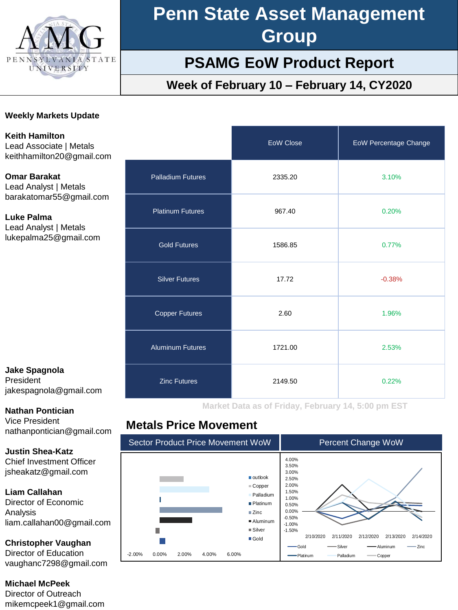

# **Penn State Asset Management Group**

## **PSAMG EoW Product Report**

## **Week of February 10 – February 14, CY2020**

#### **Weekly Markets Update**

**Keith Hamilton** Lead Associate | Metals keithhamilton20@gmail.com

**Omar Barakat** Lead Analyst | Metals barakatomar55@gmail.com

**Luke Palma** Lead Analyst | Metals lukepalma25@gmail.com

### **Jake Spagnola** President

jakespagnola@gmail.com

#### **Nathan Pontician**

Vice President nathanpontician@gmail.com

**Justin Shea-Katz** Chief Investment Officer jsheakatz@gmail.com

**Liam Callahan**

Director of Economic Analysis liam.callahan00@gmail.com

**Christopher Vaughan** Director of Education

vaughanc7298@gmail.com

**Michael McPeek**

Director of Outreach mikemcpeek1@gmail.com

|                          | EoW Close | <b>EoW Percentage Change</b> |
|--------------------------|-----------|------------------------------|
| <b>Palladium Futures</b> | 2335.20   | 3.10%                        |
| <b>Platinum Futures</b>  | 967.40    | 0.20%                        |
| <b>Gold Futures</b>      | 1586.85   | 0.77%                        |
| <b>Silver Futures</b>    | 17.72     | $-0.38%$                     |
| <b>Copper Futures</b>    | 2.60      | 1.96%                        |
| <b>Aluminum Futures</b>  | 1721.00   | 2.53%                        |
| <b>Zinc Futures</b>      | 2149.50   | 0.22%                        |

**Market Data as of Friday, February 14, 5:00 pm EST**

## **Metals Price Movement**